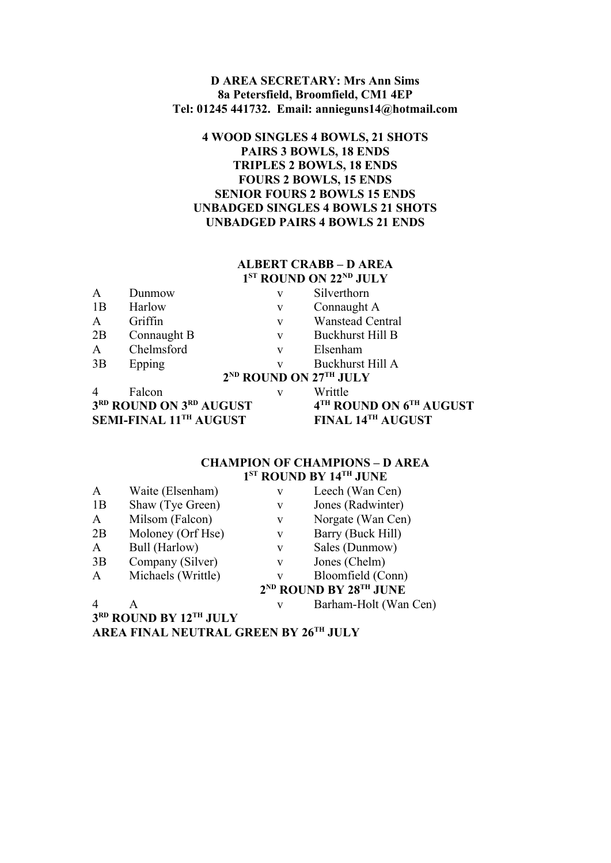#### **D AREA SECRETARY: Mrs Ann Sims 8a Petersfield, Broomfield, CM1 4EP Tel: 01245 441732. Email: annieguns14@hotmail.com**

#### **4 WOOD SINGLES 4 BOWLS, 21 SHOTS PAIRS 3 BOWLS, 18 ENDS TRIPLES 2 BOWLS, 18 ENDS FOURS 2 BOWLS, 15 ENDS SENIOR FOURS 2 BOWLS 15 ENDS UNBADGED SINGLES 4 BOWLS 21 SHOTS UNBADGED PAIRS 4 BOWLS 21 ENDS**

#### **ALBERT CRABB – D AREA 1 ST ROUND ON 22ND JULY**

| $\mathbf{A}$            | Dunmow      | V | Silverthorn                              |
|-------------------------|-------------|---|------------------------------------------|
| 1B                      | Harlow      | V | Connaught A                              |
| $\mathbf{A}$            | Griffin     | V | Wanstead Central                         |
| 2B                      | Connaught B | V | <b>Buckhurst Hill B</b>                  |
| $\mathbf{A}$            | Chelmsford  | V | Elsenham                                 |
| 3B                      | Epping      | V | Buckhurst Hill A                         |
|                         |             |   | $2^{\rm ND}$ ROUND ON $27^{\rm TH}$ JULY |
| $\overline{4}$          | Falcon      |   | Writtle                                  |
| 3RD ROUND ON 3RD AUGUST |             |   | 4TH ROUND ON 6TH AUGUST                  |
| SEMI-FINAL 11TH AUGUST  |             |   | FINAL 14TH AUGUST                        |

## **CHAMPION OF CHAMPIONS – D AREA**

#### **1 ST ROUND BY 14TH JUNE**

| A  | Waite (Elsenham)   | V | Leech (Wan Cen)                                |
|----|--------------------|---|------------------------------------------------|
| 1B | Shaw (Tye Green)   | V | Jones (Radwinter)                              |
| A  | Milsom (Falcon)    | V | Norgate (Wan Cen)                              |
| 2B | Moloney (Orf Hse)  | V | Barry (Buck Hill)                              |
| A  | Bull (Harlow)      | V | Sales (Dunmow)                                 |
| 3B | Company (Silver)   | V | Jones (Chelm)                                  |
| A  | Michaels (Writtle) | v | Bloomfield (Conn)                              |
|    |                    |   | 2 <sup>ND</sup> ROUND BY 28 <sup>TH</sup> JUNE |
|    |                    |   |                                                |

4 A v Barham-Holt (Wan Cen)

**3 RD ROUND BY 12TH JULY**

**AREA FINAL NEUTRAL GREEN BY 26TH JULY**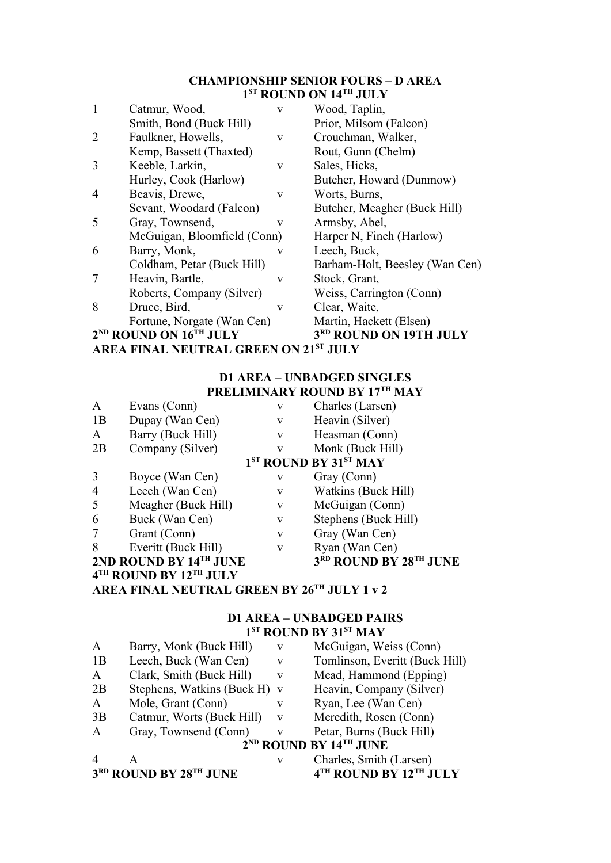#### **CHAMPIONSHIP SENIOR FOURS – D AREA 1 ST ROUND ON 14TH JULY**

| $\mathbf{1}$   | Catmur, Wood,                         | V            | Wood, Taplin,                  |
|----------------|---------------------------------------|--------------|--------------------------------|
|                | Smith, Bond (Buck Hill)               |              | Prior, Milsom (Falcon)         |
| $\overline{2}$ | Faulkner, Howells,                    | V            | Crouchman, Walker,             |
|                | Kemp, Bassett (Thaxted)               |              | Rout, Gunn (Chelm)             |
| 3              | Keeble, Larkin,                       | V            | Sales, Hicks,                  |
|                | Hurley, Cook (Harlow)                 |              | Butcher, Howard (Dunmow)       |
| 4              | Beavis, Drewe,                        | V            | Worts, Burns,                  |
|                | Sevant, Woodard (Falcon)              |              | Butcher, Meagher (Buck Hill)   |
| 5              | Gray, Townsend,                       | $\mathbf{V}$ | Armsby, Abel,                  |
|                | McGuigan, Bloomfield (Conn)           |              | Harper N, Finch (Harlow)       |
| 6              | Barry, Monk,                          | v            | Leech, Buck,                   |
|                | Coldham, Petar (Buck Hill)            |              | Barham-Holt, Beesley (Wan Cen) |
| 7              | Heavin, Bartle,                       | $\mathbf{V}$ | Stock, Grant,                  |
|                | Roberts, Company (Silver)             |              | Weiss, Carrington (Conn)       |
| 8              | Druce, Bird,                          | $\mathbf{V}$ | Clear, Waite,                  |
|                | Fortune, Norgate (Wan Cen)            |              | Martin, Hackett (Elsen)        |
|                | $2^{ND}$ ROUND ON $16^{TH}$ JULY      |              | 3RD ROUND ON 19TH JULY         |
|                | AREA FINAL NEUTRAL GREEN ON 21ST JULY |              |                                |
|                |                                       |              |                                |

#### **D1 AREA – UNBADGED SINGLES PRELIMINARY ROUND BY 17TH MAY**

| A                                           | Evans (Conn)                                     | V            | Charles (Larsen)                              |  |  |
|---------------------------------------------|--------------------------------------------------|--------------|-----------------------------------------------|--|--|
| 1B                                          | Dupay (Wan Cen)                                  | V            | Heavin (Silver)                               |  |  |
| A                                           | Barry (Buck Hill)                                | V            | Heasman (Conn)                                |  |  |
| 2B                                          | Company (Silver)                                 | V            | Monk (Buck Hill)                              |  |  |
|                                             |                                                  |              | 1 <sup>ST</sup> ROUND BY 31 <sup>ST</sup> MAY |  |  |
| 3                                           | Boyce (Wan Cen)                                  | V            | Gray (Conn)                                   |  |  |
| $\overline{4}$                              | Leech (Wan Cen)                                  | V            | Watkins (Buck Hill)                           |  |  |
| 5                                           | Meagher (Buck Hill)                              | V            | McGuigan (Conn)                               |  |  |
| 6                                           | Buck (Wan Cen)                                   | $\mathbf{V}$ | Stephens (Buck Hill)                          |  |  |
| 7                                           | Grant (Conn)                                     | V            | Gray (Wan Cen)                                |  |  |
| 8                                           | Everitt (Buck Hill)                              | V            | Ryan (Wan Cen)                                |  |  |
|                                             | 3RD ROUND BY 28TH JUNE<br>2ND ROUND BY 14TH JUNE |              |                                               |  |  |
|                                             | 4TH ROUND BY 12TH JULY                           |              |                                               |  |  |
| AREA FINAL NEUTRAL GREEN BY 26TH JULY 1 v 2 |                                                  |              |                                               |  |  |

#### **D1 AREA – UNBADGED PAIRS 1 ST ROUND BY 31ST MAY**

| A                        | Barry, Monk (Buck Hill)                        | $\mathbf{V}$ | McGuigan, Weiss (Conn)         |  |  |
|--------------------------|------------------------------------------------|--------------|--------------------------------|--|--|
| 1B                       | Leech, Buck (Wan Cen)                          | V            | Tomlinson, Everitt (Buck Hill) |  |  |
| $\mathbf{A}$             | Clark, Smith (Buck Hill)                       | V            | Mead, Hammond (Epping)         |  |  |
| 2B                       | Stephens, Watkins (Buck H) v                   |              | Heavin, Company (Silver)       |  |  |
| $\mathbf{A}$             | Mole, Grant (Conn)                             | v            | Ryan, Lee (Wan Cen)            |  |  |
| 3B                       | Catmur, Worts (Buck Hill)                      | $\mathbf{V}$ | Meredith, Rosen (Conn)         |  |  |
| $\mathbf{A}$             | Gray, Townsend (Conn)                          | v            | Petar, Burns (Buck Hill)       |  |  |
|                          | 2 <sup>ND</sup> ROUND BY 14 <sup>TH</sup> JUNE |              |                                |  |  |
| $\boldsymbol{\varDelta}$ | A                                              | $\mathbf{V}$ | Charles, Smith (Larsen)        |  |  |
|                          | 3RD ROUND BY 28TH JUNE                         |              | 4TH ROUND BY 12TH JULY         |  |  |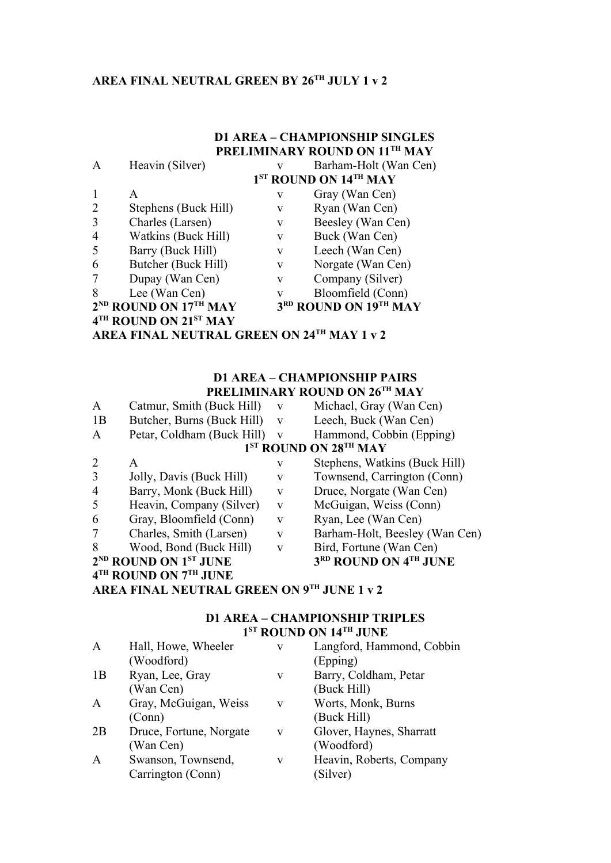## **AREA FINAL NEUTRAL GREEN BY 26TH JULY 1 v 2**

#### **D1 AREA – CHAMPIONSHIP SINGLES PRELIMINARY ROUND ON 11TH MAY** A Heavin (Silver) v Barham-Holt (Wan Cen) **1 ST ROUND ON 14TH MAY** 1 A v Gray (Wan Cen) 2 Stephens (Buck Hill) v Ryan (Wan Cen) 3 Charles (Larsen) v Beesley (Wan Cen) 4 Watkins (Buck Hill) v Buck (Wan Cen) 5 Barry (Buck Hill) v Leech (Wan Cen) 6 Butcher (Buck Hill) v Norgate (Wan Cen) 7 Dupay (Wan Cen) v Company (Silver) 8 Lee (Wan Cen) v Bloomfield (Conn)

**2 ND ROUND ON 17TH MAY 3**

**4 TH ROUND ON 21ST MAY AREA FINAL NEUTRAL GREEN ON 24TH MAY 1 v 2**

#### **RD ROUND ON 19TH MAY**

#### **D1 AREA – CHAMPIONSHIP PAIRS PRELIMINARY ROUND ON 26TH MAY**

| A  | Catmur, Smith (Buck Hill)                     | $\mathbf{V}$ | Michael, Gray (Wan Cen)                       |
|----|-----------------------------------------------|--------------|-----------------------------------------------|
| 1B | Butcher, Burns (Buck Hill)                    | $\mathbf{V}$ | Leech, Buck (Wan Cen)                         |
| A  | Petar, Coldham (Buck Hill)                    | V            | Hammond, Cobbin (Epping)                      |
|    |                                               |              | 1 <sup>ST</sup> ROUND ON 28 <sup>TH</sup> MAY |
| 2  | A                                             | V            | Stephens, Watkins (Buck Hill)                 |
| 3  | Jolly, Davis (Buck Hill)                      | V            | Townsend, Carrington (Conn)                   |
| 4  | Barry, Monk (Buck Hill)                       | V            | Druce, Norgate (Wan Cen)                      |
| 5  | Heavin, Company (Silver)                      | $\mathbf{V}$ | McGuigan, Weiss (Conn)                        |
| 6  | Gray, Bloomfield (Conn)                       | V            | Ryan, Lee (Wan Cen)                           |
| 7  | Charles, Smith (Larsen)                       | V            | Barham-Holt, Beesley (Wan Cen)                |
| 8  | Wood, Bond (Buck Hill)                        | $\mathbf{V}$ | Bird, Fortune (Wan Cen)                       |
|    | 2 <sup>ND</sup> ROUND ON 1 <sup>ST</sup> JUNE |              | 3RD ROUND ON 4TH JUNE                         |
|    | 4 <sup>TH</sup> ROUND ON 7TH JUNE             |              |                                               |

**AREA FINAL NEUTRAL GREEN ON 9TH JUNE 1 v 2**

#### **D1 AREA – CHAMPIONSHIP TRIPLES 1 ST ROUND ON 14TH JUNE**

| A            | Hall, Howe, Wheeler     | V | Langford, Hammond, Cobbin |
|--------------|-------------------------|---|---------------------------|
|              | (Woodford)              |   | (Epping)                  |
| 1B           | Ryan, Lee, Gray         | V | Barry, Coldham, Petar     |
|              | (Wan Cen)               |   | (Buck Hill)               |
| $\mathbf{A}$ | Gray, McGuigan, Weiss   | V | Worts, Monk, Burns        |
|              | (Conn)                  |   | (Buck Hill)               |
| 2B           | Druce, Fortune, Norgate | V | Glover, Haynes, Sharratt  |
|              | (Wan Cen)               |   | (Woodford)                |
| $\mathbf{A}$ | Swanson, Townsend,      | V | Heavin, Roberts, Company  |
|              | Carrington (Conn)       |   | (Silver)                  |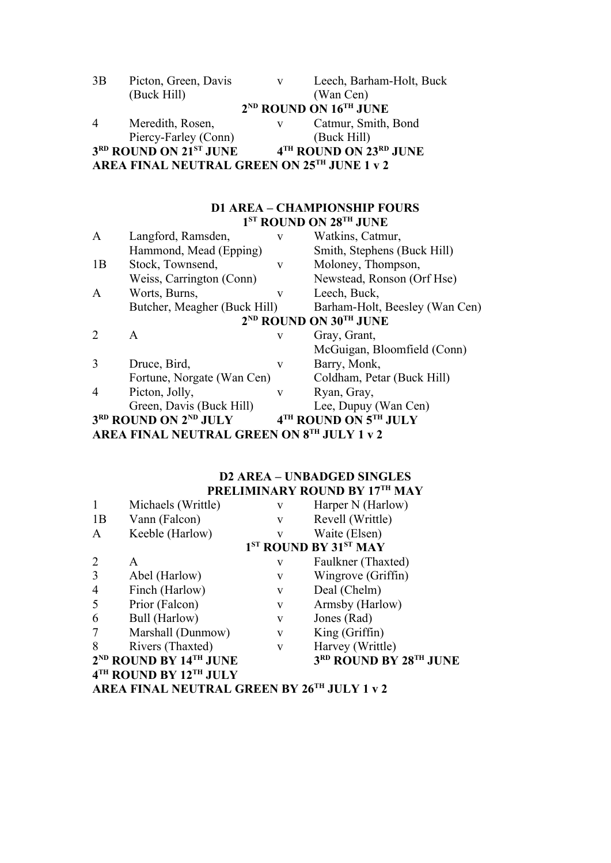| 3B                                          | Picton, Green, Davis   | V  | Leech, Barham-Holt, Buck                       |
|---------------------------------------------|------------------------|----|------------------------------------------------|
|                                             | (Buck Hill)            |    | (Wan Cen)                                      |
|                                             |                        |    | 2 <sup>ND</sup> ROUND ON 16 <sup>TH</sup> JUNE |
| $\overline{4}$                              | Meredith, Rosen,       | V. | Catmur, Smith, Bond                            |
|                                             | Piercy-Farley (Conn)   |    | (Buck Hill)                                    |
|                                             | 3RD ROUND ON 21ST JUNE |    | 4TH ROUND ON 23RD JUNE                         |
| AREA FINAL NEUTRAL GREEN ON 25TH JUNE 1 v 2 |                        |    |                                                |

#### **D1 AREA – CHAMPIONSHIP FOURS 1 ST ROUND ON 28TH JUNE**

| Langford, Ramsden,         | V            | Watkins, Catmur,                                                           |
|----------------------------|--------------|----------------------------------------------------------------------------|
| Hammond, Mead (Epping)     |              | Smith, Stephens (Buck Hill)                                                |
| Stock, Townsend,           | V            | Moloney, Thompson,                                                         |
| Weiss, Carrington (Conn)   |              | Newstead, Ronson (Orf Hse)                                                 |
| Worts, Burns,              | V            | Leech, Buck,                                                               |
|                            |              | Barham-Holt, Beesley (Wan Cen)                                             |
|                            |              | 2 <sup>ND</sup> ROUND ON 30 <sup>TH</sup> JUNE                             |
| A                          | V            | Gray, Grant,                                                               |
|                            |              | McGuigan, Bloomfield (Conn)                                                |
| Druce, Bird,               | V            | Barry, Monk,                                                               |
| Fortune, Norgate (Wan Cen) |              | Coldham, Petar (Buck Hill)                                                 |
| Picton, Jolly,             | $\mathbf{V}$ | Ryan, Gray,                                                                |
| Green, Davis (Buck Hill)   |              | Lee, Dupuy (Wan Cen)                                                       |
| 3RD ROUND ON 2ND JULY      |              | 4TH ROUND ON 5TH JULY                                                      |
|                            |              |                                                                            |
|                            |              | Butcher, Meagher (Buck Hill)<br>AREA FINAL NEUTRAL GREEN ON 8TH JULY 1 v 2 |

#### **D2 AREA – UNBADGED SINGLES PRELIMINARY ROUND BY 17TH MAY**

| $\mathbf{1}$   | Michaels (Writtle)               | V            | Harper N (Harlow)                             |
|----------------|----------------------------------|--------------|-----------------------------------------------|
| 1B             | Vann (Falcon)                    | V            | Revell (Writtle)                              |
| $\mathbf{A}$   | Keeble (Harlow)                  | $\mathbf{V}$ | Waite (Elsen)                                 |
|                |                                  |              | 1 <sup>ST</sup> ROUND BY 31 <sup>ST</sup> MAY |
| $\overline{2}$ | A                                | V            | Faulkner (Thaxted)                            |
| 3              | Abel (Harlow)                    | V            | Wingrove (Griffin)                            |
| $\overline{4}$ | Finch (Harlow)                   | V            | Deal (Chelm)                                  |
| 5              | Prior (Falcon)                   | V            | Armsby (Harlow)                               |
| 6              | Bull (Harlow)                    | $\mathbf{V}$ | Jones (Rad)                                   |
| 7              | Marshall (Dunmow)                | V            | King (Griffin)                                |
| 8              | Rivers (Thaxted)                 | $\mathbf{V}$ | Harvey (Writtle)                              |
|                | $2^{ND}$ ROUND BY $14^{TH}$ JUNE |              | 3RD ROUND BY 28TH JUNE                        |
|                | 4TH ROUND BY 12TH JULY           |              |                                               |

**AREA FINAL NEUTRAL GREEN BY 26TH JULY 1 v 2**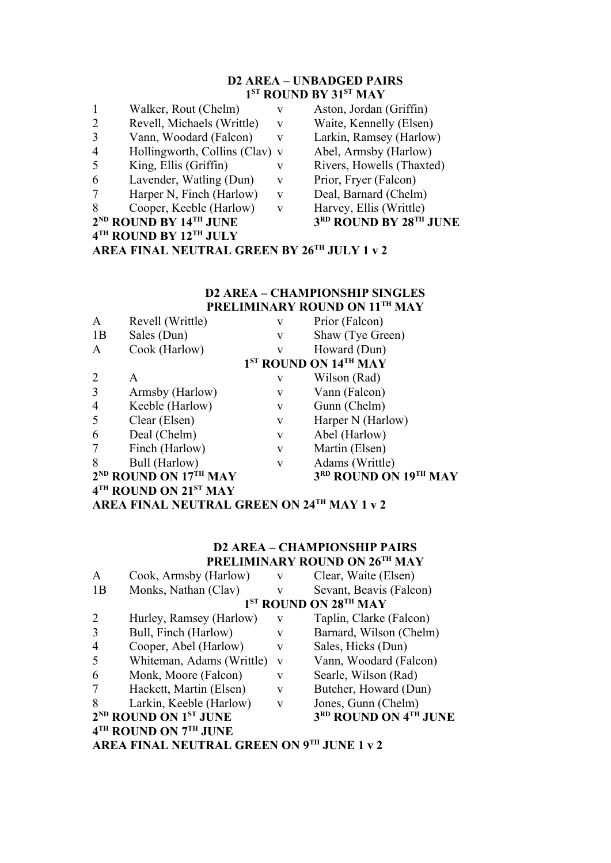#### **D2 AREA – UNBADGED PAIRS 1 ST ROUND BY 31ST MAY**

| 1 | Walker, Rout (Chelm)                                         | v | A |
|---|--------------------------------------------------------------|---|---|
| 2 | Revell, Michaels (Writtle)                                   | v | V |
| 3 | Vann, Woodard (Falcon)                                       | v | L |
| 4 | Hollingworth, Collins (Clav)                                 | V | A |
| 5 | King, Ellis (Griffin)                                        | v | R |
| 6 | Lavender, Watling (Dun)                                      | V | P |
| 7 | Harper N, Finch (Harlow)                                     | v | Е |
| 8 | Cooper, Keeble (Harlow)                                      | v | F |
|   | 2 <sup>ND</sup> ROUND BY 14 <sup>TH</sup> JUNE               |   | 3 |
|   | $4^{\text{\tiny{TH}}}$ ROUND BY $12^{\text{\tiny{TH}}}$ JULY |   |   |

- Aston, Jordan (Griffin) Waite, Kennelly (Elsen) Larkin, Ramsey (Harlow)
- Abel, Armsby (Harlow)
- Rivers, Howells (Thaxted)
- Prior, Fryer (Falcon)
- Deal, Barnard (Chelm)
- Harvey, Ellis (Writtle)
- **RD ROUND BY 28TH JUNE**

# **D2 AREA – CHAMPIONSHIP SINGLES**

## **PRELIMINARY ROUND ON 11TH MAY**

| A              | Revell (Writtle)                  | V | Prior (Falcon)                    |
|----------------|-----------------------------------|---|-----------------------------------|
| 1B             | Sales (Dun)                       | V | Shaw (Tye Green)                  |
| A              | Cook (Harlow)                     | V | Howard (Dun)                      |
|                |                                   |   | 1 <sup>ST</sup> ROUND ON 14TH MAY |
| 2              | A                                 | v | Wilson (Rad)                      |
| $\overline{3}$ | Armsby (Harlow)                   | V | Vann (Falcon)                     |
| $\overline{4}$ | Keeble (Harlow)                   | V | Gunn (Chelm)                      |
| 5              | Clear (Elsen)                     | V | Harper N (Harlow)                 |
| 6              | Deal (Chelm)                      | V | Abel (Harlow)                     |
| 7              | Finch (Harlow)                    | V | Martin (Elsen)                    |
| 8              | Bull (Harlow)                     | V | Adams (Writtle)                   |
|                | 2 <sup>ND</sup> ROUND ON 17TH MAY |   | 3RD ROUND ON 19TH MAY             |
|                | 4TH ROUND ON 21ST MAY             |   |                                   |

## **AREA FINAL NEUTRAL GREEN ON 24TH MAY 1 v 2**

**AREA FINAL NEUTRAL GREEN BY 26TH JULY 1 v 2**

#### **D2 AREA – CHAMPIONSHIP PAIRS PRELIMINARY ROUND ON 26TH MAY**

| A                                          | Cook, Armsby (Harlow)                         | V            | Clear, Waite (Elsen)                          |  |  |  |  |
|--------------------------------------------|-----------------------------------------------|--------------|-----------------------------------------------|--|--|--|--|
| 1B                                         | Monks, Nathan (Clav)                          | V            | Sevant, Beavis (Falcon)                       |  |  |  |  |
|                                            |                                               |              | 1 <sup>ST</sup> ROUND ON 28 <sup>TH</sup> MAY |  |  |  |  |
| $\overline{2}$                             | Hurley, Ramsey (Harlow)                       | $\mathbf{V}$ | Taplin, Clarke (Falcon)                       |  |  |  |  |
| 3                                          | Bull, Finch (Harlow)                          | V            | Barnard, Wilson (Chelm)                       |  |  |  |  |
| $\overline{4}$                             | Cooper, Abel (Harlow)                         | V            | Sales, Hicks (Dun)                            |  |  |  |  |
| 5                                          | Whiteman, Adams (Writtle)                     | $\mathbf{V}$ | Vann, Woodard (Falcon)                        |  |  |  |  |
| 6                                          | Monk, Moore (Falcon)                          | V            | Searle, Wilson (Rad)                          |  |  |  |  |
| 7                                          | Hackett, Martin (Elsen)                       | V            | Butcher, Howard (Dun)                         |  |  |  |  |
| 8                                          | Larkin, Keeble (Harlow)                       | V            | Jones, Gunn (Chelm)                           |  |  |  |  |
|                                            | 2 <sup>ND</sup> ROUND ON 1 <sup>ST</sup> JUNE |              | 3RD ROUND ON 4TH JUNE                         |  |  |  |  |
|                                            | 4TH ROUND ON 7TH JUNE                         |              |                                               |  |  |  |  |
| AREA FINAL NEUTRAL GREEN ON 9TH JUNE 1 v 2 |                                               |              |                                               |  |  |  |  |